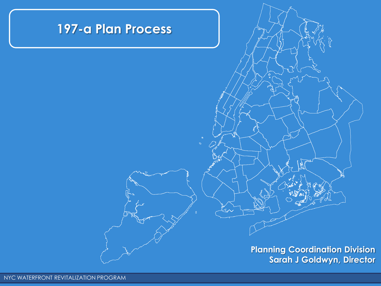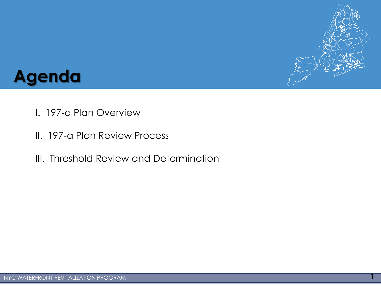

### **Agenda**

- I. 197-a Plan Overview
- II. 197-a Plan Review Process
- III. Threshold Review and Determination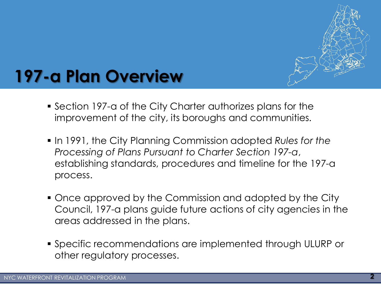

- Section 197-a of the City Charter authorizes plans for the improvement of the city, its boroughs and communities.
- In 1991, the City Planning Commission adopted *Rules for the Processing of Plans Pursuant to Charter Section 197-a*, establishing standards, procedures and timeline for the 197-a process.
- Once approved by the Commission and adopted by the City Council, 197-a plans guide future actions of city agencies in the areas addressed in the plans.
- Specific recommendations are implemented through ULURP or other regulatory processes.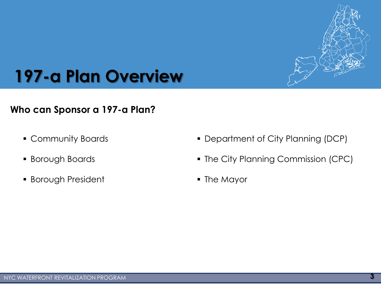

#### **Who can Sponsor a 197-a Plan?**

- Community Boards
- Borough Boards
- **Borough President**
- Department of City Planning (DCP)
- The City Planning Commission (CPC)
- The Mayor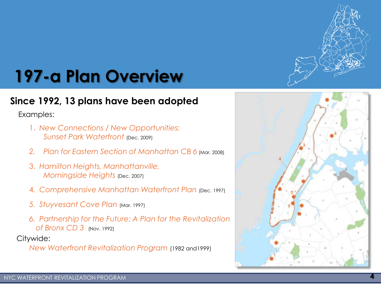

#### **Since 1992, 13 plans have been adopted**

Examples:

- 1. *New Connections / New Opportunities: Sunset Park Waterfront (Dec. 2009)*
- 2. *Plan for Eastern Section of Manhattan CB 6* (Mar. 2008)
- 3. *Hamilton Heights, Manhattanville, Morningside Heights* (Dec. 2007)
- 4. Comprehensive Manhattan Waterfront Plan (Dec. 1997)
- *5. Stuyvesant Cove Plan* (Mar. 1997)
- *6. Partnership for the Future: A Plan for the Revitalization of Bronx CD 3* (Nov. 1992)

Citywide:

*New Waterfront Revitalization Program* (1982 and1999)

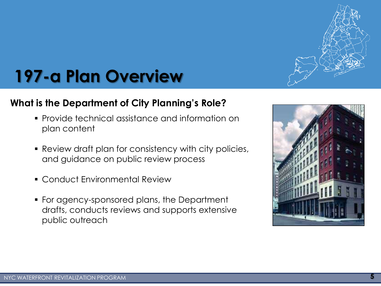

#### **What is the Department of City Planning's Role?**

- Provide technical assistance and information on plan content
- Review draft plan for consistency with city policies, and guidance on public review process
- Conduct Environmental Review
- For agency-sponsored plans, the Department drafts, conducts reviews and supports extensive public outreach

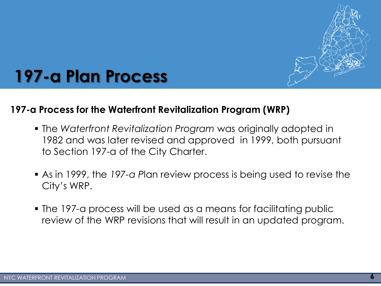

### **197-a Plan Process**

#### **197-a Process for the Waterfront Revitalization Program (WRP)**

- The *Waterfront Revitalization Program* was originally adopted in 1982 and was later revised and approved in 1999, both pursuant to Section 197-a of the City Charter.
- As in 1999, the *197-a P*lan review process is being used to revise the City's WRP.
- The 197-a process will be used as a means for facilitating public review of the WRP revisions that will result in an updated program.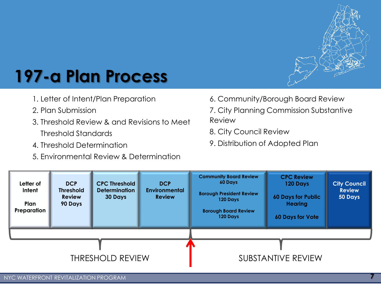

# **197-a Plan Process**

- 1. Letter of Intent/Plan Preparation
- 2. Plan Submission
- 3. Threshold Review & and Revisions to Meet Threshold Standards
- 4. Threshold Determination
- 5. Environmental Review & Determination
- 6. Community/Borough Board Review
- 7. City Planning Commission Substantive Review
- 8. City Council Review
- 9. Distribution of Adopted Plan